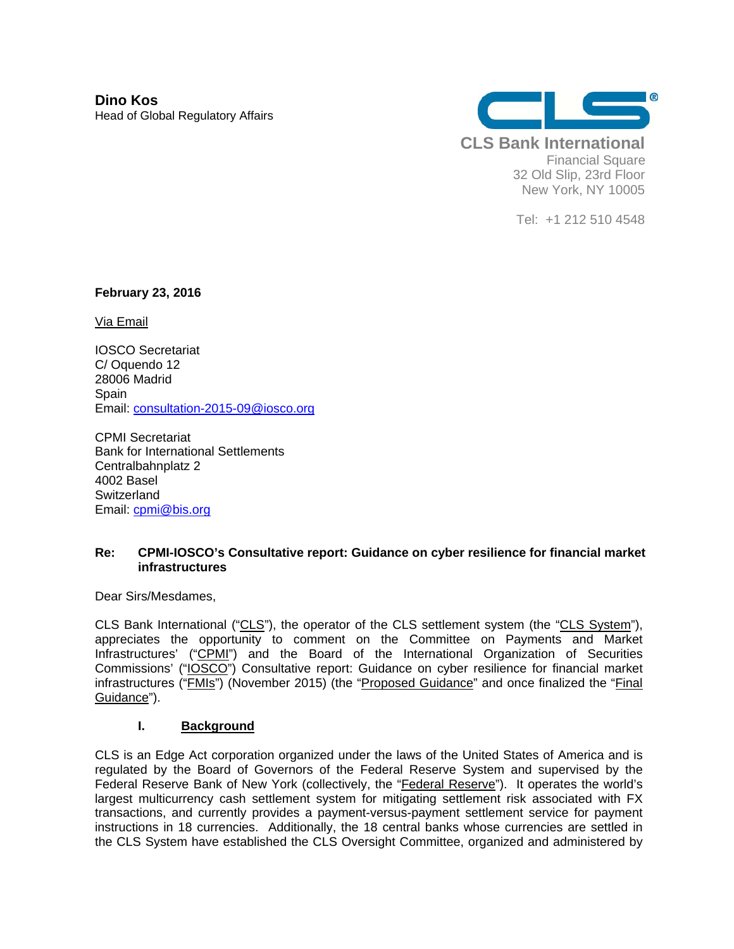**Dino Kos**  Head of Global Regulatory Affairs



Tel: +1 212 510 4548

**February 23, 2016** 

Via Email

IOSCO Secretariat C/ Oquendo 12 28006 Madrid **Spain** Email: consultation-2015-09@iosco.org

CPMI Secretariat Bank for International Settlements Centralbahnplatz 2 4002 Basel **Switzerland** Email: cpmi@bis.org

#### **Re: CPMI-IOSCO's Consultative report: Guidance on cyber resilience for financial market infrastructures**

Dear Sirs/Mesdames,

CLS Bank International ("CLS"), the operator of the CLS settlement system (the "CLS System"), appreciates the opportunity to comment on the Committee on Payments and Market Infrastructures' ("CPMI") and the Board of the International Organization of Securities Commissions' ("IOSCO") Consultative report: Guidance on cyber resilience for financial market infrastructures ("**FMIs**") (November 2015) (the "Proposed Guidance" and once finalized the "Final Guidance").

#### **I. Background**

CLS is an Edge Act corporation organized under the laws of the United States of America and is regulated by the Board of Governors of the Federal Reserve System and supervised by the Federal Reserve Bank of New York (collectively, the "Federal Reserve"). It operates the world's largest multicurrency cash settlement system for mitigating settlement risk associated with FX transactions, and currently provides a payment-versus-payment settlement service for payment instructions in 18 currencies. Additionally, the 18 central banks whose currencies are settled in the CLS System have established the CLS Oversight Committee, organized and administered by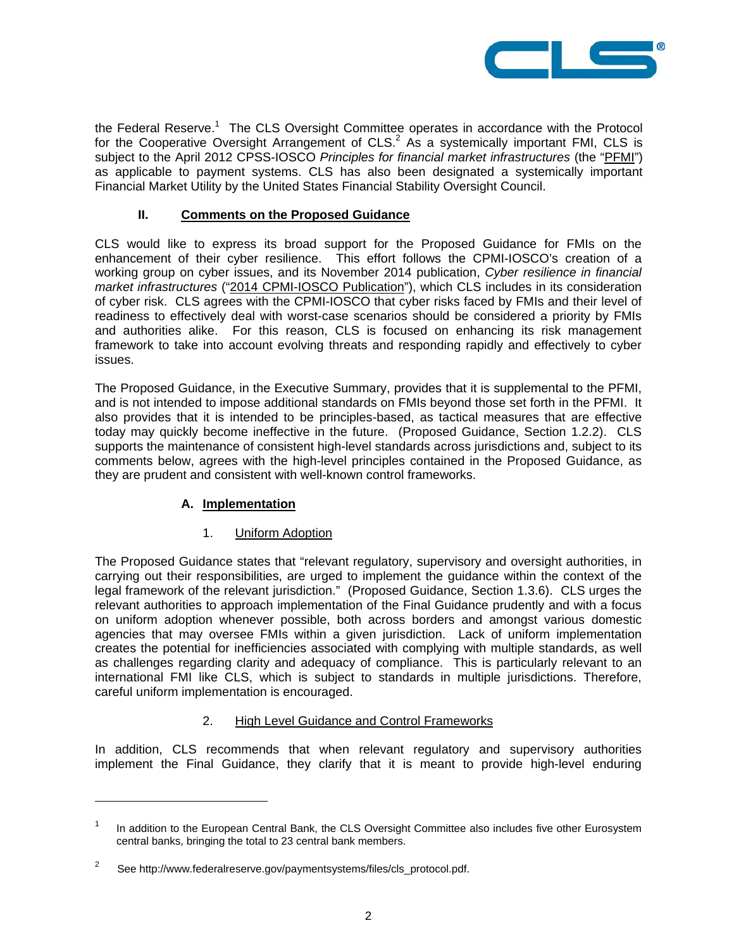

the Federal Reserve.<sup>1</sup> The CLS Oversight Committee operates in accordance with the Protocol for the Cooperative Oversight Arrangement of CLS.<sup>2</sup> As a systemically important FMI, CLS is subject to the April 2012 CPSS-IOSCO *Principles for financial market infrastructures* (the "PFMI") as applicable to payment systems. CLS has also been designated a systemically important Financial Market Utility by the United States Financial Stability Oversight Council.

# **II. Comments on the Proposed Guidance**

CLS would like to express its broad support for the Proposed Guidance for FMIs on the enhancement of their cyber resilience. This effort follows the CPMI-IOSCO's creation of a working group on cyber issues, and its November 2014 publication, *Cyber resilience in financial market infrastructures* ("2014 CPMI-IOSCO Publication"), which CLS includes in its consideration of cyber risk. CLS agrees with the CPMI-IOSCO that cyber risks faced by FMIs and their level of readiness to effectively deal with worst-case scenarios should be considered a priority by FMIs and authorities alike. For this reason, CLS is focused on enhancing its risk management framework to take into account evolving threats and responding rapidly and effectively to cyber issues.

The Proposed Guidance, in the Executive Summary, provides that it is supplemental to the PFMI, and is not intended to impose additional standards on FMIs beyond those set forth in the PFMI. It also provides that it is intended to be principles-based, as tactical measures that are effective today may quickly become ineffective in the future. (Proposed Guidance, Section 1.2.2). CLS supports the maintenance of consistent high-level standards across jurisdictions and, subject to its comments below, agrees with the high-level principles contained in the Proposed Guidance, as they are prudent and consistent with well-known control frameworks.

## **A. Implementation**

## 1. Uniform Adoption

The Proposed Guidance states that "relevant regulatory, supervisory and oversight authorities, in carrying out their responsibilities, are urged to implement the guidance within the context of the legal framework of the relevant jurisdiction." (Proposed Guidance, Section 1.3.6). CLS urges the relevant authorities to approach implementation of the Final Guidance prudently and with a focus on uniform adoption whenever possible, both across borders and amongst various domestic agencies that may oversee FMIs within a given jurisdiction. Lack of uniform implementation creates the potential for inefficiencies associated with complying with multiple standards, as well as challenges regarding clarity and adequacy of compliance. This is particularly relevant to an international FMI like CLS, which is subject to standards in multiple jurisdictions. Therefore, careful uniform implementation is encouraged.

## 2. High Level Guidance and Control Frameworks

In addition, CLS recommends that when relevant regulatory and supervisory authorities implement the Final Guidance, they clarify that it is meant to provide high-level enduring

l

<sup>1</sup> In addition to the European Central Bank, the CLS Oversight Committee also includes five other Eurosystem central banks, bringing the total to 23 central bank members.

<sup>2</sup> See http://www.federalreserve.gov/paymentsystems/files/cls\_protocol.pdf.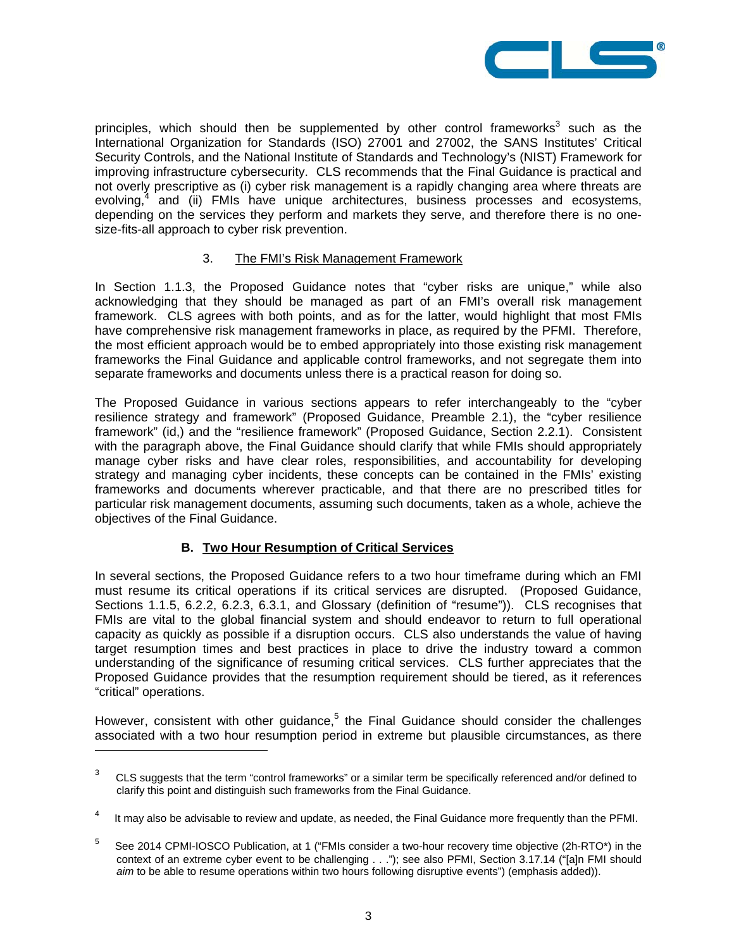

principles, which should then be supplemented by other control frameworks<sup>3</sup> such as the International Organization for Standards (ISO) 27001 and 27002, the SANS Institutes' Critical Security Controls, and the National Institute of Standards and Technology's (NIST) Framework for improving infrastructure cybersecurity. CLS recommends that the Final Guidance is practical and not overly prescriptive as (i) cyber risk management is a rapidly changing area where threats are evolving,<sup>4</sup> and (ii) FMIs have unique architectures, business processes and ecosystems, depending on the services they perform and markets they serve, and therefore there is no onesize-fits-all approach to cyber risk prevention.

## 3. The FMI's Risk Management Framework

In Section 1.1.3, the Proposed Guidance notes that "cyber risks are unique," while also acknowledging that they should be managed as part of an FMI's overall risk management framework. CLS agrees with both points, and as for the latter, would highlight that most FMIs have comprehensive risk management frameworks in place, as required by the PFMI. Therefore, the most efficient approach would be to embed appropriately into those existing risk management frameworks the Final Guidance and applicable control frameworks, and not segregate them into separate frameworks and documents unless there is a practical reason for doing so.

The Proposed Guidance in various sections appears to refer interchangeably to the "cyber resilience strategy and framework" (Proposed Guidance, Preamble 2.1), the "cyber resilience framework" (id,) and the "resilience framework" (Proposed Guidance, Section 2.2.1). Consistent with the paragraph above, the Final Guidance should clarify that while FMIs should appropriately manage cyber risks and have clear roles, responsibilities, and accountability for developing strategy and managing cyber incidents, these concepts can be contained in the FMIs' existing frameworks and documents wherever practicable, and that there are no prescribed titles for particular risk management documents, assuming such documents, taken as a whole, achieve the objectives of the Final Guidance.

## **B. Two Hour Resumption of Critical Services**

l

In several sections, the Proposed Guidance refers to a two hour timeframe during which an FMI must resume its critical operations if its critical services are disrupted. (Proposed Guidance, Sections 1.1.5, 6.2.2, 6.2.3, 6.3.1, and Glossary (definition of "resume")). CLS recognises that FMIs are vital to the global financial system and should endeavor to return to full operational capacity as quickly as possible if a disruption occurs. CLS also understands the value of having target resumption times and best practices in place to drive the industry toward a common understanding of the significance of resuming critical services. CLS further appreciates that the Proposed Guidance provides that the resumption requirement should be tiered, as it references "critical" operations.

However, consistent with other guidance,<sup>5</sup> the Final Guidance should consider the challenges associated with a two hour resumption period in extreme but plausible circumstances, as there

<sup>3</sup> CLS suggests that the term "control frameworks" or a similar term be specifically referenced and/or defined to clarify this point and distinguish such frameworks from the Final Guidance.

It may also be advisable to review and update, as needed, the Final Guidance more frequently than the PFMI.

<sup>5</sup> See 2014 CPMI-IOSCO Publication, at 1 ("FMIs consider a two-hour recovery time objective (2h-RTO\*) in the context of an extreme cyber event to be challenging . . ."); see also PFMI, Section 3.17.14 ("[a]n FMI should *aim* to be able to resume operations within two hours following disruptive events") (emphasis added)).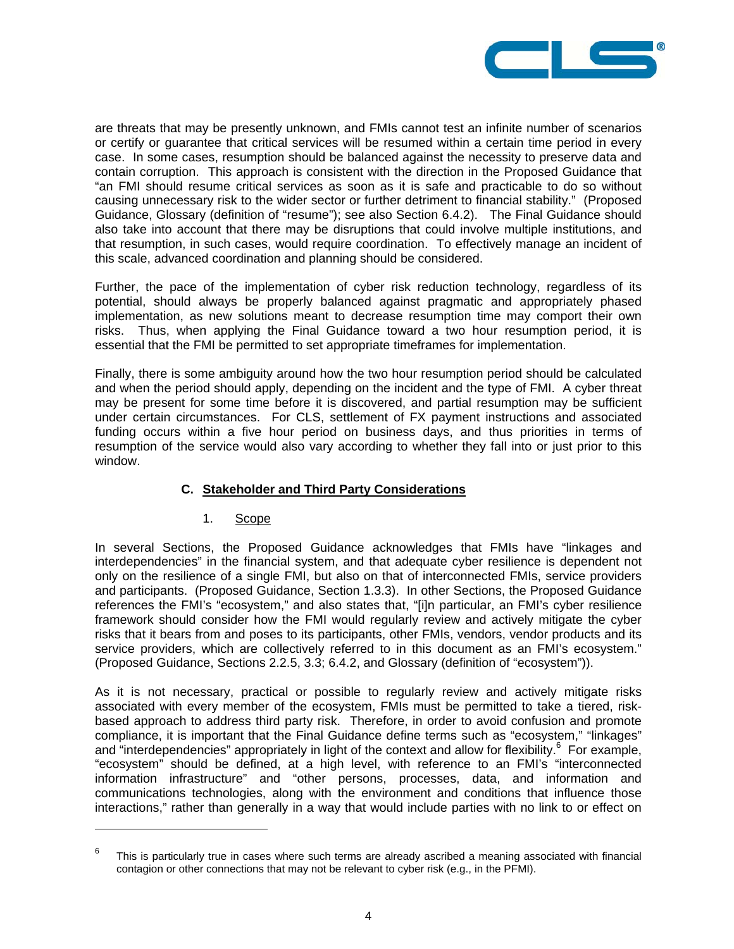

are threats that may be presently unknown, and FMIs cannot test an infinite number of scenarios or certify or guarantee that critical services will be resumed within a certain time period in every case. In some cases, resumption should be balanced against the necessity to preserve data and contain corruption. This approach is consistent with the direction in the Proposed Guidance that "an FMI should resume critical services as soon as it is safe and practicable to do so without causing unnecessary risk to the wider sector or further detriment to financial stability." (Proposed Guidance, Glossary (definition of "resume"); see also Section 6.4.2). The Final Guidance should also take into account that there may be disruptions that could involve multiple institutions, and that resumption, in such cases, would require coordination. To effectively manage an incident of this scale, advanced coordination and planning should be considered.

Further, the pace of the implementation of cyber risk reduction technology, regardless of its potential, should always be properly balanced against pragmatic and appropriately phased implementation, as new solutions meant to decrease resumption time may comport their own risks. Thus, when applying the Final Guidance toward a two hour resumption period, it is essential that the FMI be permitted to set appropriate timeframes for implementation.

Finally, there is some ambiguity around how the two hour resumption period should be calculated and when the period should apply, depending on the incident and the type of FMI. A cyber threat may be present for some time before it is discovered, and partial resumption may be sufficient under certain circumstances. For CLS, settlement of FX payment instructions and associated funding occurs within a five hour period on business days, and thus priorities in terms of resumption of the service would also vary according to whether they fall into or just prior to this window.

## **C. Stakeholder and Third Party Considerations**

## 1. Scope

l

In several Sections, the Proposed Guidance acknowledges that FMIs have "linkages and interdependencies" in the financial system, and that adequate cyber resilience is dependent not only on the resilience of a single FMI, but also on that of interconnected FMIs, service providers and participants. (Proposed Guidance, Section 1.3.3). In other Sections, the Proposed Guidance references the FMI's "ecosystem," and also states that, "[i]n particular, an FMI's cyber resilience framework should consider how the FMI would regularly review and actively mitigate the cyber risks that it bears from and poses to its participants, other FMIs, vendors, vendor products and its service providers, which are collectively referred to in this document as an FMI's ecosystem." (Proposed Guidance, Sections 2.2.5, 3.3; 6.4.2, and Glossary (definition of "ecosystem")).

As it is not necessary, practical or possible to regularly review and actively mitigate risks associated with every member of the ecosystem, FMIs must be permitted to take a tiered, riskbased approach to address third party risk. Therefore, in order to avoid confusion and promote compliance, it is important that the Final Guidance define terms such as "ecosystem," "linkages" and "interdependencies" appropriately in light of the context and allow for flexibility.<sup>6</sup> For example, "ecosystem" should be defined, at a high level, with reference to an FMI's "interconnected information infrastructure" and "other persons, processes, data, and information and communications technologies, along with the environment and conditions that influence those interactions," rather than generally in a way that would include parties with no link to or effect on

<sup>6</sup> This is particularly true in cases where such terms are already ascribed a meaning associated with financial contagion or other connections that may not be relevant to cyber risk (e.g., in the PFMI).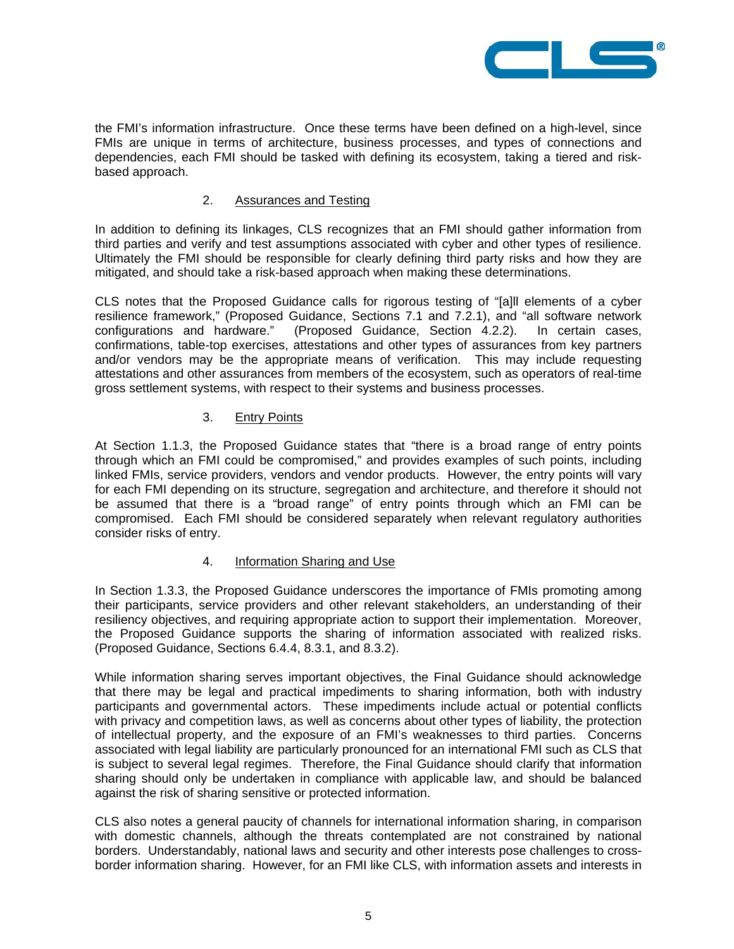

the FMI's information infrastructure. Once these terms have been defined on a high-level, since FMIs are unique in terms of architecture, business processes, and types of connections and dependencies, each FMI should be tasked with defining its ecosystem, taking a tiered and riskbased approach.

#### 2. Assurances and Testing

In addition to defining its linkages, CLS recognizes that an FMI should gather information from third parties and verify and test assumptions associated with cyber and other types of resilience. Ultimately the FMI should be responsible for clearly defining third party risks and how they are mitigated, and should take a risk-based approach when making these determinations.

CLS notes that the Proposed Guidance calls for rigorous testing of "[a]ll elements of a cyber resilience framework," (Proposed Guidance, Sections 7.1 and 7.2.1), and "all software network configurations and hardware." (Proposed Guidance, Section 4.2.2). In certain cases, confirmations, table-top exercises, attestations and other types of assurances from key partners and/or vendors may be the appropriate means of verification. This may include requesting attestations and other assurances from members of the ecosystem, such as operators of real-time gross settlement systems, with respect to their systems and business processes.

#### 3. Entry Points

At Section 1.1.3, the Proposed Guidance states that "there is a broad range of entry points through which an FMI could be compromised," and provides examples of such points, including linked FMIs, service providers, vendors and vendor products. However, the entry points will vary for each FMI depending on its structure, segregation and architecture, and therefore it should not be assumed that there is a "broad range" of entry points through which an FMI can be compromised. Each FMI should be considered separately when relevant regulatory authorities consider risks of entry.

## 4. Information Sharing and Use

In Section 1.3.3, the Proposed Guidance underscores the importance of FMIs promoting among their participants, service providers and other relevant stakeholders, an understanding of their resiliency objectives, and requiring appropriate action to support their implementation. Moreover, the Proposed Guidance supports the sharing of information associated with realized risks. (Proposed Guidance, Sections 6.4.4, 8.3.1, and 8.3.2).

While information sharing serves important objectives, the Final Guidance should acknowledge that there may be legal and practical impediments to sharing information, both with industry participants and governmental actors. These impediments include actual or potential conflicts with privacy and competition laws, as well as concerns about other types of liability, the protection of intellectual property, and the exposure of an FMI's weaknesses to third parties. Concerns associated with legal liability are particularly pronounced for an international FMI such as CLS that is subject to several legal regimes. Therefore, the Final Guidance should clarify that information sharing should only be undertaken in compliance with applicable law, and should be balanced against the risk of sharing sensitive or protected information.

CLS also notes a general paucity of channels for international information sharing, in comparison with domestic channels, although the threats contemplated are not constrained by national borders. Understandably, national laws and security and other interests pose challenges to crossborder information sharing. However, for an FMI like CLS, with information assets and interests in